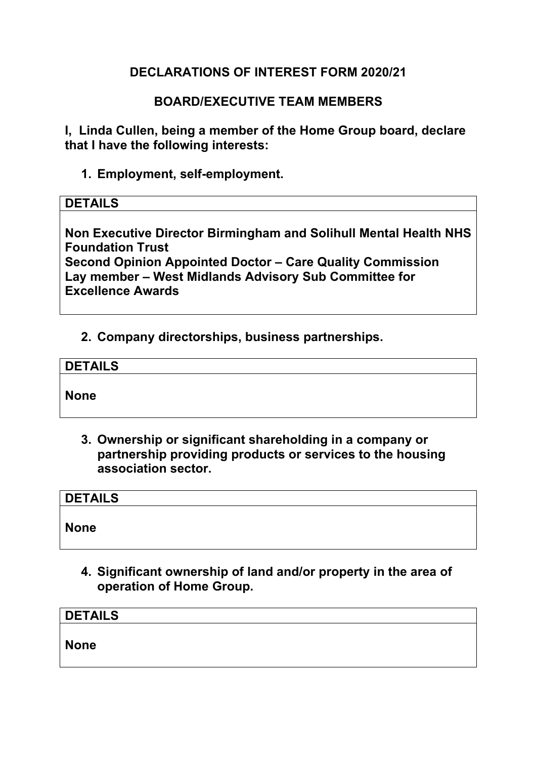# **DECLARATIONS OF INTEREST FORM 2020/21**

### **BOARD/EXECUTIVE TEAM MEMBERS**

**I, Linda Cullen, being a member of the Home Group board, declare that I have the following interests:** 

**1. Employment, self-employment.** 

#### **DETAILS**

**Non Executive Director Birmingham and Solihull Mental Health NHS Foundation Trust** 

**Second Opinion Appointed Doctor – Care Quality Commission Lay member – West Midlands Advisory Sub Committee for Excellence Awards** 

#### **2. Company directorships, business partnerships.**

| <b>DETAILS</b> |  |
|----------------|--|
|                |  |
| <b>None</b>    |  |

**3. Ownership or significant shareholding in a company or partnership providing products or services to the housing association sector.** 

| <b>DETAILS</b> |  |  |
|----------------|--|--|
| None           |  |  |
|                |  |  |

**4. Significant ownership of land and/or property in the area of operation of Home Group.** 

| <b>DETAILS</b> |  |  |
|----------------|--|--|
| <b>None</b>    |  |  |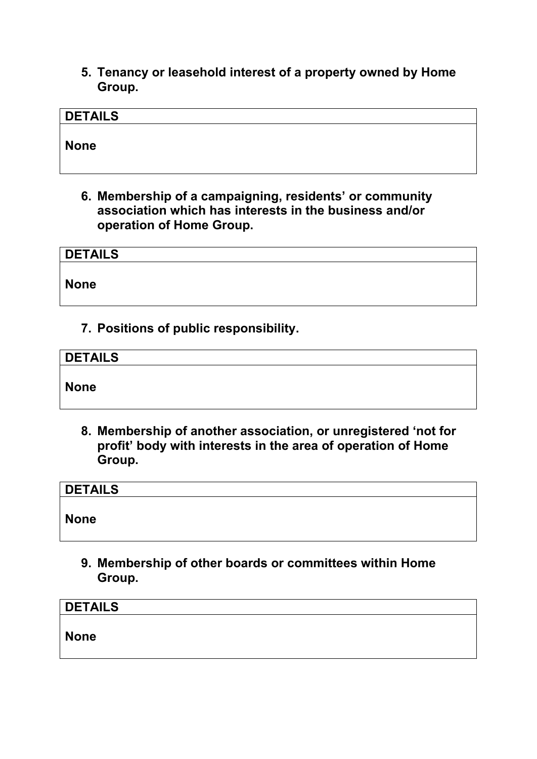**5. Tenancy or leasehold interest of a property owned by Home Group.** 

# **DETAILS**

**None** 

**6. Membership of a campaigning, residents' or community association which has interests in the business and/or operation of Home Group.** 

| <b>DETAILS</b> |  |  |  |
|----------------|--|--|--|
| None           |  |  |  |

**7. Positions of public responsibility.** 

| <b>DETAILS</b> |  |  |
|----------------|--|--|
| None           |  |  |
|                |  |  |

**8. Membership of another association, or unregistered 'not for profit' body with interests in the area of operation of Home Group.** 

| <b>DETAILS</b> |  |  |
|----------------|--|--|
| <b>None</b>    |  |  |

**9. Membership of other boards or committees within Home Group.** 

| DETAILS |  |  |  |
|---------|--|--|--|
| None    |  |  |  |